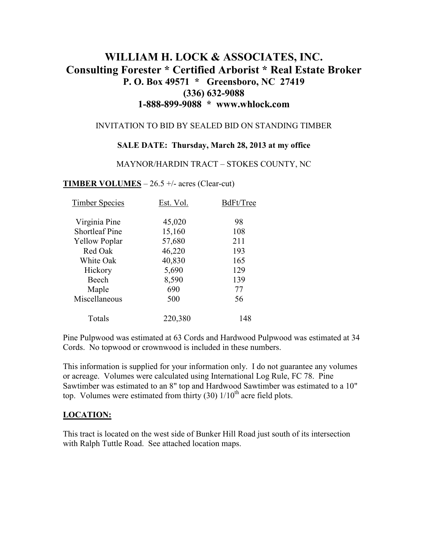# **WILLIAM H. LOCK & ASSOCIATES, INC. Consulting Forester \* Certified Arborist \* Real Estate Broker P. O. Box 49571 \* Greensboro, NC 27419 (336) 632-9088 1-888-899-9088 \* www.whlock.com**

#### INVITATION TO BID BY SEALED BID ON STANDING TIMBER

### **SALE DATE: Thursday, March 28, 2013 at my office**

#### MAYNOR/HARDIN TRACT – STOKES COUNTY, NC

### **TIMBER VOLUMES** – 26.5 +/- acres (Clear-cut)

| <b>Timber Species</b> | Est. Vol. | BdFt/Tree |
|-----------------------|-----------|-----------|
| Virginia Pine         | 45,020    | 98        |
| <b>Shortleaf Pine</b> | 15,160    | 108       |
| <b>Yellow Poplar</b>  | 57,680    | 211       |
| Red Oak               | 46,220    | 193       |
| White Oak             | 40,830    | 165       |
| Hickory               | 5,690     | 129       |
| Beech                 | 8,590     | 139       |
| Maple                 | 690       | 77        |
| Miscellaneous         | 500       | 56        |
| Totals                | 220,380   | 148       |

Pine Pulpwood was estimated at 63 Cords and Hardwood Pulpwood was estimated at 34 Cords. No topwood or crownwood is included in these numbers.

This information is supplied for your information only. I do not guarantee any volumes or acreage. Volumes were calculated using International Log Rule, FC 78. Pine Sawtimber was estimated to an 8" top and Hardwood Sawtimber was estimated to a 10" top. Volumes were estimated from thirty  $(30)$   $1/10<sup>th</sup>$  acre field plots.

### **LOCATION:**

This tract is located on the west side of Bunker Hill Road just south of its intersection with Ralph Tuttle Road. See attached location maps.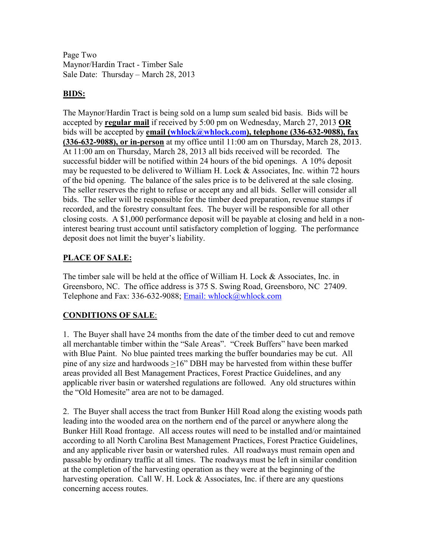Page Two Maynor/Hardin Tract - Timber Sale Sale Date: Thursday – March 28, 2013

### **BIDS:**

The Maynor/Hardin Tract is being sold on a lump sum sealed bid basis. Bids will be accepted by **regular mail** if received by 5:00 pm on Wednesday, March 27, 2013 **OR** bids will be accepted by **email (whlock@whlock.com), telephone (336-632-9088), fax (336-632-9088), or in-person** at my office until 11:00 am on Thursday, March 28, 2013. At 11:00 am on Thursday, March 28, 2013 all bids received will be recorded. The successful bidder will be notified within 24 hours of the bid openings. A 10% deposit may be requested to be delivered to William H. Lock & Associates, Inc. within 72 hours of the bid opening. The balance of the sales price is to be delivered at the sale closing. The seller reserves the right to refuse or accept any and all bids. Seller will consider all bids. The seller will be responsible for the timber deed preparation, revenue stamps if recorded, and the forestry consultant fees. The buyer will be responsible for all other closing costs. A \$1,000 performance deposit will be payable at closing and held in a noninterest bearing trust account until satisfactory completion of logging. The performance deposit does not limit the buyer's liability.

# **PLACE OF SALE:**

The timber sale will be held at the office of William H. Lock & Associates, Inc. in Greensboro, NC. The office address is 375 S. Swing Road, Greensboro, NC 27409. Telephone and Fax: 336-632-9088; Email: whlock@whlock.com

# **CONDITIONS OF SALE**:

1. The Buyer shall have 24 months from the date of the timber deed to cut and remove all merchantable timber within the "Sale Areas". "Creek Buffers" have been marked with Blue Paint. No blue painted trees marking the buffer boundaries may be cut. All pine of any size and hardwoods >16" DBH may be harvested from within these buffer areas provided all Best Management Practices, Forest Practice Guidelines, and any applicable river basin or watershed regulations are followed. Any old structures within the "Old Homesite" area are not to be damaged.

2. The Buyer shall access the tract from Bunker Hill Road along the existing woods path leading into the wooded area on the northern end of the parcel or anywhere along the Bunker Hill Road frontage. All access routes will need to be installed and/or maintained according to all North Carolina Best Management Practices, Forest Practice Guidelines, and any applicable river basin or watershed rules. All roadways must remain open and passable by ordinary traffic at all times. The roadways must be left in similar condition at the completion of the harvesting operation as they were at the beginning of the harvesting operation. Call W. H. Lock  $&$  Associates, Inc. if there are any questions concerning access routes.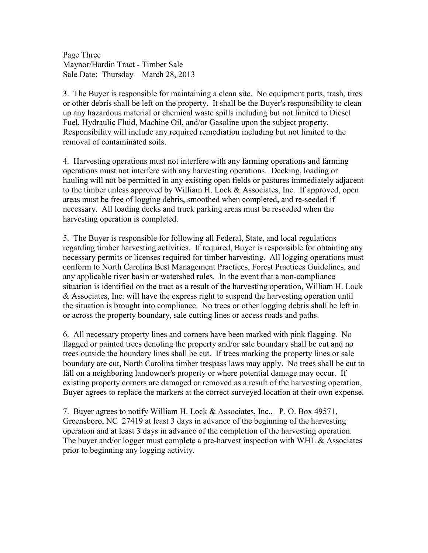Page Three Maynor/Hardin Tract - Timber Sale Sale Date: Thursday – March 28, 2013

3. The Buyer is responsible for maintaining a clean site. No equipment parts, trash, tires or other debris shall be left on the property. It shall be the Buyer's responsibility to clean up any hazardous material or chemical waste spills including but not limited to Diesel Fuel, Hydraulic Fluid, Machine Oil, and/or Gasoline upon the subject property. Responsibility will include any required remediation including but not limited to the removal of contaminated soils.

4. Harvesting operations must not interfere with any farming operations and farming operations must not interfere with any harvesting operations. Decking, loading or hauling will not be permitted in any existing open fields or pastures immediately adjacent to the timber unless approved by William H. Lock & Associates, Inc. If approved, open areas must be free of logging debris, smoothed when completed, and re-seeded if necessary. All loading decks and truck parking areas must be reseeded when the harvesting operation is completed.

5. The Buyer is responsible for following all Federal, State, and local regulations regarding timber harvesting activities. If required, Buyer is responsible for obtaining any necessary permits or licenses required for timber harvesting. All logging operations must conform to North Carolina Best Management Practices, Forest Practices Guidelines, and any applicable river basin or watershed rules. In the event that a non-compliance situation is identified on the tract as a result of the harvesting operation, William H. Lock & Associates, Inc. will have the express right to suspend the harvesting operation until the situation is brought into compliance. No trees or other logging debris shall be left in or across the property boundary, sale cutting lines or access roads and paths.

6. All necessary property lines and corners have been marked with pink flagging. No flagged or painted trees denoting the property and/or sale boundary shall be cut and no trees outside the boundary lines shall be cut. If trees marking the property lines or sale boundary are cut, North Carolina timber trespass laws may apply. No trees shall be cut to fall on a neighboring landowner's property or where potential damage may occur. If existing property corners are damaged or removed as a result of the harvesting operation, Buyer agrees to replace the markers at the correct surveyed location at their own expense.

7. Buyer agrees to notify William H. Lock & Associates, Inc., P. O. Box 49571, Greensboro, NC 27419 at least 3 days in advance of the beginning of the harvesting operation and at least 3 days in advance of the completion of the harvesting operation. The buyer and/or logger must complete a pre-harvest inspection with WHL & Associates prior to beginning any logging activity.